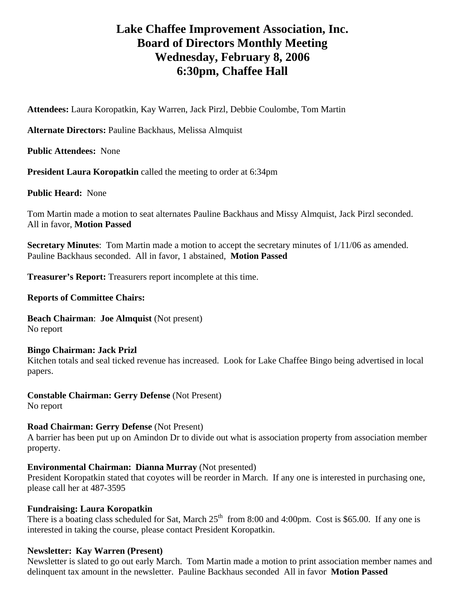# **Lake Chaffee Improvement Association, Inc. Board of Directors Monthly Meeting Wednesday, February 8, 2006 6:30pm, Chaffee Hall**

**Attendees:** Laura Koropatkin, Kay Warren, Jack Pirzl, Debbie Coulombe, Tom Martin

**Alternate Directors:** Pauline Backhaus, Melissa Almquist

**Public Attendees:** None

**President Laura Koropatkin** called the meeting to order at 6:34pm

**Public Heard:** None

Tom Martin made a motion to seat alternates Pauline Backhaus and Missy Almquist, Jack Pirzl seconded. All in favor, **Motion Passed**

**Secretary Minutes**: Tom Martin made a motion to accept the secretary minutes of 1/11/06 as amended. Pauline Backhaus seconded. All in favor, 1 abstained, **Motion Passed** 

**Treasurer's Report:** Treasurers report incomplete at this time.

#### **Reports of Committee Chairs:**

**Beach Chairman**: **Joe Almquist** (Not present) No report

**Bingo Chairman: Jack Prizl**  Kitchen totals and seal ticked revenue has increased. Look for Lake Chaffee Bingo being advertised in local papers.

**Constable Chairman: Gerry Defense** (Not Present) No report

# **Road Chairman: Gerry Defense** (Not Present)

A barrier has been put up on Amindon Dr to divide out what is association property from association member property.

# **Environmental Chairman: Dianna Murray** (Not presented)

President Koropatkin stated that coyotes will be reorder in March. If any one is interested in purchasing one, please call her at 487-3595

# **Fundraising: Laura Koropatkin**

There is a boating class scheduled for Sat, March  $25<sup>th</sup>$  from 8:00 and 4:00pm. Cost is \$65.00. If any one is interested in taking the course, please contact President Koropatkin.

# **Newsletter: Kay Warren (Present)**

Newsletter is slated to go out early March. Tom Martin made a motion to print association member names and delinquent tax amount in the newsletter. Pauline Backhaus seconded All in favor **Motion Passed**